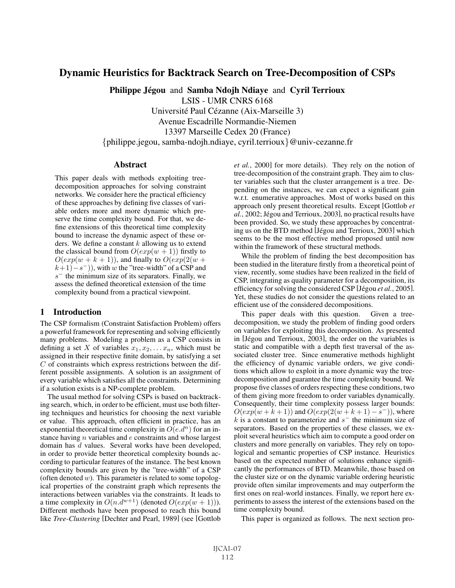# Dynamic Heuristics for Backtrack Search on Tree-Decomposition of CSPs

Philippe Jégou and Samba Ndojh Ndiave and Cyril Terrioux

LSIS - UMR CNRS 6168

Université Paul Cézanne (Aix-Marseille 3)

Avenue Escadrille Normandie-Niemen

13397 Marseille Cedex 20 (France)

{philippe.jegou, samba-ndojh.ndiaye, cyril.terrioux}@univ-cezanne.fr

## **Abstract**

This paper deals with methods exploiting treedecomposition approaches for solving constraint networks. We consider here the practical efficiency of these approaches by defining five classes of variable orders more and more dynamic which preserve the time complexity bound. For that, we define extensions of this theoretical time complexity bound to increase the dynamic aspect of these orders. We define a constant  $k$  allowing us to extend the classical bound from  $O(exp(w + 1))$  firstly to  $O(exp(w + k + 1))$ , and finally to  $O(exp(2(w + k))$  $(k+1)-s^-)$ ), with w the "tree-width" of a CSP and  $s^-$  the minimum size of its separators. Finally, we assess the defined theoretical extension of the time complexity bound from a practical viewpoint.

# 1 Introduction

The CSP formalism (Constraint Satisfaction Problem) offers a powerful framework for representing and solving efficiently many problems. Modeling a problem as a CSP consists in defining a set X of variables  $x_1, x_2, \ldots x_n$ , which must be assigned in their respective finite domain, by satisfying a set  $C$  of constraints which express restrictions between the different possible assignments. A solution is an assignment of every variable which satisfies all the constraints. Determining if a solution exists is a NP-complete problem.

The usual method for solving CSPs is based on backtracking search, which, in order to be efficient, must use both filtering techniques and heuristics for choosing the next variable or value. This approach, often efficient in practice, has an exponential theoretical time complexity in  $O(e.d^n)$  for an instance having n variables and e constraints and whose largest domain has d values. Several works have been developed, in order to provide better theoretical complexity bounds according to particular features of the instance. The best known complexity bounds are given by the "tree-width" of a CSP (often denoted  $w$ ). This parameter is related to some topological properties of the constraint graph which represents the interactions between variables via the constraints. It leads to a time complexity in  $O(n.d^{w+1})$  (denoted  $O(exp(w + 1))$ ). Different methods have been proposed to reach this bound like *Tree-Clustering* [Dechter and Pearl, 1989] (see [Gottlob *et al.*, 2000] for more details). They rely on the notion of tree-decomposition of the constraint graph. They aim to cluster variables such that the cluster arrangement is a tree. Depending on the instances, we can expect a significant gain w.r.t. enumerative approaches. Most of works based on this approach only present theoretical results. Except [Gottlob *et al.*, 2002; Jégou and Terrioux, 2003], no practical results have been provided. So, we study these approaches by concentrating us on the BTD method [Jégou and Terrioux, 2003] which seems to be the most effective method proposed until now within the framework of these structural methods.

While the problem of finding the best decomposition has been studied in the literature firstly from a theoretical point of view, recently, some studies have been realized in the field of CSP, integrating as quality parameter for a decomposition, its efficiency for solving the considered CSP [Jégou *et al.*, 2005]. Yet, these studies do not consider the questions related to an efficient use of the considered decompositions.

This paper deals with this question. Given a treedecomposition, we study the problem of finding good orders on variables for exploiting this decomposition. As presented in [Jégou and Terrioux, 2003], the order on the variables is static and compatible with a depth first traversal of the associated cluster tree. Since enumerative methods highlight the efficiency of dynamic variable orders, we give conditions which allow to exploit in a more dynamic way the treedecomposition and guarantee the time complexity bound. We propose five classes of orders respecting these conditions, two of them giving more freedom to order variables dynamically. Consequently, their time complexity possess larger bounds:  $O(exp(w+k+1))$  and  $O(exp(2(w+k+1)-s^{-}))$ , where k is a constant to parameterize and  $s^-$  the minimum size of separators. Based on the properties of these classes, we exploit several heuristics which aim to compute a good order on clusters and more generally on variables. They rely on topological and semantic properties of CSP instance. Heuristics based on the expected number of solutions enhance significantly the performances of BTD. Meanwhile, those based on the cluster size or on the dynamic variable ordering heuristic provide often similar improvements and may outperform the first ones on real-world instances. Finally, we report here experiments to assess the interest of the extensions based on the time complexity bound.

This paper is organized as follows. The next section pro-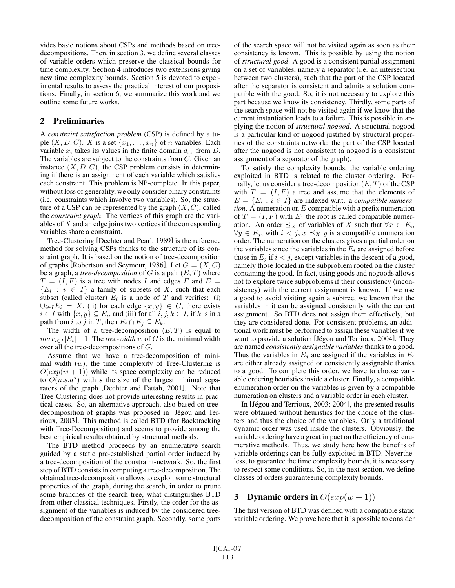vides basic notions about CSPs and methods based on treedecompositions. Then, in section 3, we define several classes of variable orders which preserve the classical bounds for time complexity. Section 4 introduces two extensions giving new time complexity bounds. Section 5 is devoted to experimental results to assess the practical interest of our propositions. Finally, in section 6, we summarize this work and we outline some future works.

#### 2 Preliminaries

A *constraint satisfaction problem* (CSP) is defined by a tuple  $(X, D, C)$ . X is a set  $\{x_1, \ldots, x_n\}$  of n variables. Each variable  $x_i$  takes its values in the finite domain  $d_{x_i}$  from D. The variables are subject to the constraints from  $C$ . Given an instance  $(X, D, C)$ , the CSP problem consists in determining if there is an assignment of each variable which satisfies each constraint. This problem is NP-complete. In this paper, without loss of generality, we only consider binary constraints (i.e. constraints which involve two variables). So, the structure of a CSP can be represented by the graph  $(X, C)$ , called the *constraint graph*. The vertices of this graph are the variables of X and an edge joins two vertices if the corresponding variables share a constraint.

Tree-Clustering [Dechter and Pearl, 1989] is the reference method for solving CSPs thanks to the structure of its constraint graph. It is based on the notion of tree-decomposition of graphs [Robertson and Seymour, 1986]. Let  $G = (X, C)$ be a graph, a *tree-decomposition* of  $G$  is a pair  $(E, T)$  where  $T = (I, F)$  is a tree with nodes I and edges F and  $E =$  ${E_i : i \in I}$  a family of subsets of X, such that each subset (called cluster)  $E_i$  is a node of T and verifies: (i)  $\bigcup_{i\in I}E_i = X$ , (ii) for each edge  $\{x, y\} \in C$ , there exists  $i \in I$  with  $\{x, y\} \subseteq E_i$ , and (iii) for all  $i, j, k \in I$ , if k is in a path from *i* to *j* in *T*, then  $E_i \cap E_j \subseteq E_k$ .

The width of a tree-decomposition  $(E, T)$  is equal to  $max_{i \in I} |E_i| - 1$ . The *tree-width* w of G is the minimal width over all the tree-decompositions of G.

Assume that we have a tree-decomposition of minimal width  $(w)$ , the time complexity of Tree-Clustering is  $O(exp(w + 1))$  while its space complexity can be reduced to  $O(n.s.d^s)$  with s the size of the largest minimal separators of the graph [Dechter and Fattah, 2001]. Note that Tree-Clustering does not provide interesting results in practical cases. So, an alternative approach, also based on treedecomposition of graphs was proposed in [Jégou and Terrioux, 2003]. This method is called BTD (for Backtracking with Tree-Decomposition) and seems to provide among the best empirical results obtained by structural methods.

The BTD method proceeds by an enumerative search guided by a static pre-established partial order induced by a tree-decomposition of the constraint-network. So, the first step of BTD consists in computing a tree-decomposition. The obtained tree-decomposition allows to exploit some structural properties of the graph, during the search, in order to prune some branches of the search tree, what distinguishes BTD from other classical techniques. Firstly, the order for the assignment of the variables is induced by the considered treedecomposition of the constraint graph. Secondly, some parts of the search space will not be visited again as soon as their consistency is known. This is possible by using the notion of *structural good*. A good is a consistent partial assignment on a set of variables, namely a separator (i.e. an intersection between two clusters), such that the part of the CSP located after the separator is consistent and admits a solution compatible with the good. So, it is not necessary to explore this part because we know its consistency. Thirdly, some parts of the search space will not be visited again if we know that the current instantiation leads to a failure. This is possible in applying the notion of *structural nogood*. A structural nogood is a particular kind of nogood justified by structural properties of the constraints network: the part of the CSP located after the nogood is not consistent (a nogood is a consistent assignment of a separator of the graph).

To satisfy the complexity bounds, the variable ordering exploited in BTD is related to the cluster ordering. Formally, let us consider a tree-decomposition  $(E,T)$  of the CSP with  $T = (I, F)$  a tree and assume that the elements of  $E = \{E_i : i \in I\}$  are indexed w.r.t. a *compatible numeration*. A numeration on  $E$  compatible with a prefix numeration of  $T = (I, F)$  with  $E_1$  the root is called compatible numeration. An order  $\preceq_X$  of variables of X such that  $\forall x \in E_i$ ,  $\forall y \in E_i$ , with  $i < j$ ,  $x \preceq_X y$  is a compatible enumeration order. The numeration on the clusters gives a partial order on the variables since the variables in the  $E_i$  are assigned before those in  $E_j$  if  $i < j$ , except variables in the descent of a good, namely those located in the subproblem rooted on the cluster containing the good. In fact, using goods and nogoods allows not to explore twice subproblems if their consistency (inconsistency) with the current assignment is known. If we use a good to avoid visiting again a subtree, we known that the variables in it can be assigned consistently with the current assignment. So BTD does not assign them effectively, but they are considered done. For consistent problems, an additional work must be performed to assign these variables if we want to provide a solution [Jégou and Terrioux, 2004]. They are named *consistently assignable variables* thanks to a good. Thus the variables in  $E_j$  are assigned if the variables in  $E_i$ are either already assigned or consistently assignable thanks to a good. To complete this order, we have to choose variable ordering heuristics inside a cluster. Finally, a compatible enumeration order on the variables is given by a compatible numeration on clusters and a variable order in each cluster.

In [Jégou and Terrioux, 2003; 2004], the presented results were obtained without heuristics for the choice of the clusters and thus the choice of the variables. Only a traditional dynamic order was used inside the clusters. Obviously, the variable ordering have a great impact on the efficiency of enumerative methods. Thus, we study here how the benefits of variable orderings can be fully exploited in BTD. Nevertheless, to guarantee the time complexity bounds, it is necessary to respect some conditions. So, in the next section, we define classes of orders guaranteeing complexity bounds.

# 3 Dynamic orders in  $O(exp(w + 1))$

The first version of BTD was defined with a compatible static variable ordering. We prove here that it is possible to consider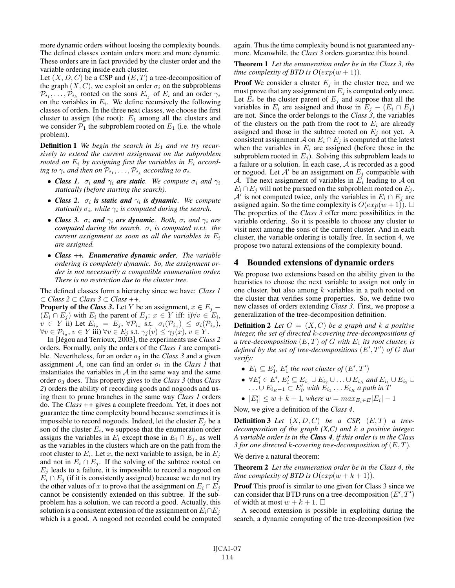more dynamic orders without loosing the complexity bounds. The defined classes contain orders more and more dynamic. These orders are in fact provided by the cluster order and the variable ordering inside each cluster.

Let  $(X, D, C)$  be a CSP and  $(E, T)$  a tree-decomposition of the graph  $(X, C)$ , we exploit an order  $\sigma_i$  on the subproblems  $\mathcal{P}_{i_1}, \ldots, \mathcal{P}_{i_k}$  rooted on the sons  $E_{i_j}$  of  $E_i$  and an order  $\gamma_i$ on the variables in  $E_i$ . We define recursively the following classes of orders. In the three next classes, we choose the first cluster to assign (the root):  $E_1$  among all the clusters and we consider  $P_1$  the subproblem rooted on  $E_1$  (i.e. the whole problem).

**Definition 1** We begin the search in  $E_1$  and we try recur*sively to extend the current assignment on the subproblem rooted on*  $E_i$  *by assigning first the variables in*  $E_i$  *according to*  $\gamma_i$  *and then on*  $\mathcal{P}_{i_1}, \ldots, \mathcal{P}_{i_k}$  *according to*  $\sigma_i$ *.* 

- *Class 1.*  $\sigma_i$  **and**  $\gamma_i$  **are static**. We compute  $\sigma_i$  and  $\gamma_i$ *statically (before starting the search).*
- *Class 2.*  $\sigma_i$  *is static and*  $\gamma_i$  *is dynamic. We compute statically*  $\sigma_i$ *, while*  $\gamma_i$  *is computed during the search.*
- *Class 3.*  $\sigma_i$  *and*  $\gamma_i$  *are dynamic. Both,*  $\sigma_i$  *and*  $\gamma_i$  *are computed during the search.*  $\sigma_i$  *is computed w.r.t. the current assignment as soon as all the variables in* E<sup>i</sup> *are assigned.*
- *Class ++. Enumerative dynamic order. The variable ordering is completely dynamic. So, the assignment order is not necessarily a compatible enumeration order. There is no restriction due to the cluster tree.*

The defined classes form a hierarchy since we have: *Class 1* ⊂ *Class 2* ⊂ *Class 3* ⊂ *Class ++*.

**Property of the** *Class 3***.** Let Y be an assignment,  $x \in E_i$  –  $(E_i \cap E_j)$  with  $E_i$  the parent of  $E_j$ :  $x \in Y$  iff: i) $\forall v \in E_i$ ,  $v \in Y$  ii) Let  $E_{i_p} = E_j$ ,  $\forall \mathcal{P}_{i_u}$  s.t.  $\sigma_i(\mathcal{P}_{i_u}) \leq \sigma_i(\mathcal{P}_{i_p}),$  $\forall v \in \mathcal{P}_{i_u}, v \in Y$  iii)  $\forall v \in E_j$  s.t.  $\gamma_j(v) \leq \gamma_j(x), v \in Y$ .

In [Jégou and Terrioux, 2003], the experiments use *Class 2* orders. Formally, only the orders of the *Class 1* are compatible. Nevertheless, for an order  $o_3$  in the *Class 3* and a given assignment  $A$ , one can find an order  $o_1$  in the *Class 1* that instantiates the variables in  $A$  in the same way and the same order o<sup>3</sup> does. This property gives to the *Class 3* (thus *Class 2*) orders the ability of recording goods and nogoods and using them to prune branches in the same way *Class 1* orders do. The *Class ++* gives a complete freedom. Yet, it does not guarantee the time complexity bound because sometimes it is impossible to record nogoods. Indeed, let the cluster  $E_i$  be a son of the cluster  $E_i$ , we suppose that the enumeration order assigns the variables in  $E_i$  except those in  $E_i \cap E_j$ , as well as the variables in the clusters which are on the path from the root cluster to  $E_i$ . Let x, the next variable to assign, be in  $E_i$ and not in  $E_i \cap E_j$ . If the solving of the subtree rooted on  $E_j$  leads to a failure, it is impossible to record a nogood on  $E_i \cap E_j$  (if it is consistently assigned) because we do not try the other values of x to prove that the assignment on  $E_i \cap E_j$ cannot be consistently extended on this subtree. If the subproblem has a solution, we can record a good. Actually, this solution is a consistent extension of the assignment on  $E_i \cap E_j$ which is a good. A nogood not recorded could be computed again. Thus the time complexity bound is not guaranteed anymore. Meanwhile, the *Class 3* orders guarantee this bound.

#### Theorem 1 *Let the enumeration order be in the Class 3, the time complexity of BTD is*  $O(exp(w + 1))$ *.*

**Proof** We consider a cluster  $E_j$  in the cluster tree, and we must prove that any assignment on  $E_j$  is computed only once. Let  $E_i$  be the cluster parent of  $E_i$  and suppose that all the variables in  $E_i$  are assigned and those in  $E_i - (E_i \cap E_j)$ are not. Since the order belongs to the *Class 3*, the variables of the clusters on the path from the root to  $E_i$  are already assigned and those in the subtree rooted on  $E_j$  not yet. A consistent assignment A on  $E_i \cap E_j$  is computed at the latest when the variables in  $E_i$  are assigned (before those in the subproblem rooted in  $E_i$ ). Solving this subproblem leads to a failure or a solution. In each case, A is recorded as a good or nogood. Let  $A'$  be an assignment on  $E_j$  compatible with A. The next assignment of variables in  $E_i$  leading to A on  $E_i \cap E_j$  will not be pursued on the subproblem rooted on  $E_j$ . A' is not computed twice, only the variables in  $E_i \cap E_j$  are assigned again. So the time complexity is  $O(exp(w + 1))$ .  $\Box$ The properties of the *Class 3* offer more possibilities in the variable ordering. So it is possible to choose any cluster to visit next among the sons of the current cluster. And in each cluster, the variable ordering is totally free. In section 4, we propose two natural extensions of the complexity bound.

#### 4 Bounded extensions of dynamic orders

We propose two extensions based on the ability given to the heuristics to choose the next variable to assign not only in one cluster, but also among  $k$  variables in a path rooted on the cluster that verifies some properties. So, we define two new classes of orders extending *Class 3*. First, we propose a generalization of the tree-decomposition definition.

**Definition 2** Let  $G = (X, C)$  be a graph and k a positive *integer, the set of directed* k*-covering tree-decompositions of a tree-decomposition*  $(E, T)$  *of*  $G$  *with*  $E_1$  *its root cluster, is defined by the set of tree-decompositions* (E , T ) *of* G *that verify:*

- $E_1 \subseteq E'_1$ ,  $E'_1$  the root cluster of  $(E', T')$
- $\forall E'_i \in E', E'_i \subseteq E_{i_1} \cup E_{i_2} \cup \ldots \cup E_{i_R}$  and  $E_{i_1} \cup E_{i_2} \cup \ldots$ ...∪  $E_{i_R-1}$   $\subset E'_i$ , with  $E_{i_1}$  ...  $E_{i_R}$  *a path in*  $\overline{T}$
- $|E'_i| \leq w + k + 1$ *, where*  $w = max_{E_i \in E} |E_i| 1$

Now, we give a definition of the *Class 4*.

**Definition 3** Let  $(X, D, C)$  be a CSP,  $(E, T)$  a tree*decomposition of the graph (X,C) and* k *a positive integer. A variable order is in the Class 4, if this order is in the Class 3 for one directed* k*-covering tree-decomposition of* (E,T )*.*

We derive a natural theorem:

Theorem 2 *Let the enumeration order be in the Class 4, the time complexity of BTD is*  $O(exp(w + k + 1))$ *.* 

Proof This proof is similar to one given for Class 3 since we can consider that BTD runs on a tree-decomposition  $(E', T')$ of width at most  $w + k + 1$ .  $\square$ 

A second extension is possible in exploiting during the search, a dynamic computing of the tree-decomposition (we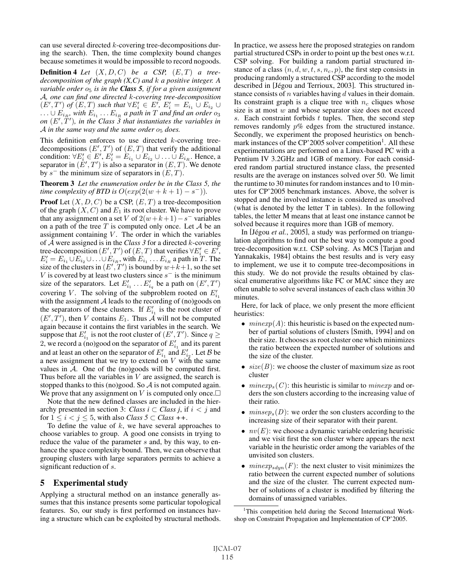can use several directed k-covering tree-decompositions during the search). Then, the time complexity bound changes because sometimes it would be impossible to record nogoods.

**Definition 4** *Let*  $(X, D, C)$  *be a CSP*,  $(E, T)$  *a treedecomposition of the graph (X,C) and* k *a positive integer. A variable order*  $o<sub>5</sub>$  *is in the Class 5, if for a given assignment* A*, one can find one directed* k*-covering tree-decomposition*  $(E',T')$  of  $(E,T)$  such that  $\forall E'_i \in E', E'_i = E_{i_1} \cup E_{i_2} \cup$  $\ldots \cup E_{i_R}$ , with  $E_{i_1} \ldots E_{i_R}$  a path in  $T$  and find an order  $o_3$ on  $(E', T')$ , in the Class 3 that instantiates the variables in  $\mathcal A$  *in the same way and the same order*  $o_5$  *does.* 

This definition enforces to use directed  $k$ -covering treedecompositions  $(E',T')$  of  $(E,T)$  that verify the additional condition:  $\forall E'_i \in E', E'_i = E_{i_1} \cup E_{i_2} \cup \ldots \cup E_{i_R}$ . Hence, a separator in  $(E', T')$  is also a separator in  $(E, T)$ . We denote by s<sup>−</sup> the minimum size of separators in  $(E, T)$ .

Theorem 3 *Let the enumeration order be in the Class 5, the time complexity of BTD is*  $O(exp(2(w + k + 1) - s^{-}))$ .

**Proof** Let  $(X, D, C)$  be a CSP,  $(E, T)$  a tree-decomposition of the graph  $(X, C)$  and  $E_1$  its root cluster. We have to prove that any assignment on a set V of  $2(w+k+1)-s^-$  variables on a path of the tree  $T$  is computed only once. Let  $A$  be an assignment containing  $V$ . The order in which the variables of A were assigned is in the *Class 3* for a directed k-covering tree-decomposition  $(E',T')$  of  $(E,T)$  that verifies  $\forall E'_i \in E'$ ,  $E'_i = E_{i_1} \cup E_{i_2} \cup \ldots \cup E_{i_R}$ , with  $E_{i_1} \ldots E_{i_R}$  a path in T. The size of the clusters in  $(E', T')$  is bound by  $w+k+1$ , so the set V is covered by at least two clusters since  $s^-$  is the minimum size of the separators. Let  $E'_{i_1} \dots E'_{i_q}$  be a path on  $(E', T')$ covering V. The solving of the subproblem rooted on  $E'_{i_1}$ with the assignment  $A$  leads to the recording of (no)goods on the separators of these clusters. If  $E'_{i_1}$  is the root cluster of  $(E', T')$ , then V contains  $E_1$ . Thus  $\overrightarrow{A}$  will not be computed again because it contains the first variables in the search. We suppose that  $E'_{i_1}$  is not the root cluster of  $(E', T')$ . Since  $q \geq$ 2, we record a (no)good on the separator of  $E'_{i_1}$  and its parent and at least an other on the separator of  $E'_{i_1}$  and  $E'_{i_2}$ . Let  $B$  be a new assignment that we try to extend on  $V$  with the same values in A. One of the (no)goods will be computed first. Thus before all the variables in  $V$  are assigned, the search is stopped thanks to this (no)good. So  $A$  is not computed again. We prove that any assignment on V is computed only once. $\Box$ 

Note that the new defined classes are included in the hierarchy presented in section 3: *Class i*  $\subset$  *Class j*, if  $i < j$  and for  $1 \leq i < j \leq 5$ , with also *Class* 5  $\subset$  *Class* ++.

To define the value of  $k$ , we have several approaches to choose variables to group. A good one consists in trying to reduce the value of the parameter s and, by this way, to enhance the space complexity bound. Then, we can observe that grouping clusters with large separators permits to achieve a significant reduction of s.

# 5 Experimental study

Applying a structural method on an instance generally assumes that this instance presents some particular topological features. So, our study is first performed on instances having a structure which can be exploited by structural methods. In practice, we assess here the proposed strategies on random partial structured CSPs in order to point up the best ones w.r.t. CSP solving. For building a random partial structured instance of a class  $(n, d, w, t, s, n_c, p)$ , the first step consists in producing randomly a structured CSP according to the model described in [Jégou and Terrioux, 2003]. This structured instance consists of  $n$  variables having  $d$  values in their domain. Its constraint graph is a clique tree with  $n_c$  cliques whose size is at most  $w$  and whose separator size does not exceed s. Each constraint forbids  $t$  tuples. Then, the second step removes randomly p% edges from the structured instance. Secondly, we experiment the proposed heuristics on benchmark instances of the  $CP'2005$  solver competition<sup>1</sup>. All these experimentations are performed on a Linux-based PC with a Pentium IV 3.2GHz and 1GB of memory. For each considered random partial structured instance class, the presented results are the average on instances solved over 50. We limit the runtime to 30 minutes for random instances and to 10 minutes for CP'2005 benchmark instances. Above, the solver is stopped and the involved instance is considered as unsolved (what is denoted by the letter T in tables). In the following tables, the letter M means that at least one instance cannot be solved because it requires more than 1GB of memory.

In [Jégou *et al.*, 2005], a study was performed on triangulation algorithms to find out the best way to compute a good tree-decomposition w.r.t. CSP solving. As MCS [Tarjan and Yannakakis, 1984] obtains the best results and is very easy to implement, we use it to compute tree-decompositions in this study. We do not provide the results obtained by classical enumerative algorithms like FC or MAC since they are often unable to solve several instances of each class within 30 minutes.

Here, for lack of place, we only present the more efficient heuristics:

- $minexp(A)$ : this heuristic is based on the expected number of partial solutions of clusters [Smith, 1994] and on their size. It chooses as root cluster one which minimizes the ratio between the expected number of solutions and the size of the cluster.
- $size(B)$ : we choose the cluster of maximum size as root cluster
- $minexp<sub>s</sub>(C)$ : this heuristic is similar to *minexp* and orders the son clusters according to the increasing value of their ratio.
- $minsep<sub>s</sub>(D)$ : we order the son clusters according to the increasing size of their separator with their parent.
- $nv(E)$ : we choose a dynamic variable ordering heuristic and we visit first the son cluster where appears the next variable in the heuristic order among the variables of the unvisited son clusters.
- $minexp_{sdun}(F)$ : the next cluster to visit minimizes the ratio between the current expected number of solutions and the size of the cluster. The current expected number of solutions of a cluster is modified by filtering the domains of unassigned variables.

<sup>1</sup>This competition held during the Second International Workshop on Constraint Propagation and Implementation of CP'2005.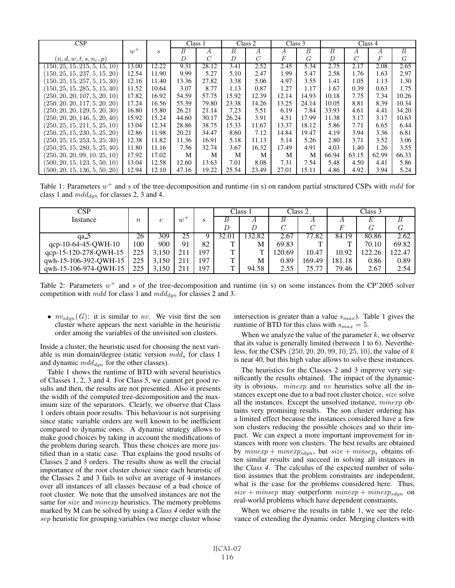| CSP                           |       |                  | Class 1        |                | Class 2 |                | Class 3 |       | Class 4 |       |       |       |
|-------------------------------|-------|------------------|----------------|----------------|---------|----------------|---------|-------|---------|-------|-------|-------|
|                               | $w^+$ | $\boldsymbol{s}$ | B              | А              | B       | A              | А       | B     | B       | А     | А     | B     |
| $(n,d,w,t,s,n_c,p)$           |       |                  | $\overline{D}$ | $\overline{C}$ | D       | $\overline{C}$ | F       | G     | D       | C     | F     | G     |
| 150, 25, 15, 215, 5, 15, 10   | 13.00 | 12.22            | 9.31           | 28.12          | 3.41    | 2.52           | 2.45    | 5.34  | 2.75    | 2.17  | 2.08  | 2.65  |
| 150, 25, 15, 237, 5, 15, 20   | 12.54 | 11.90            | 9.99           | 5.27           | 5.10    | 2.47           | 1.99    | 5.47  | 2.58    | 1.76  | 1.63  | 2.97  |
| 150, 25, 15, 257, 5, 15, 30   | 12.16 | 11.40            | 13.36          | 27.82          | 3.38    | 5.06           | 4.97    | 3.55  | 1.41    | 1.05  | 1.13  | 1.30  |
| 150, 25, 15, 285, 5, 15, 40   | 11.52 | 10.64            | 3.07           | 8.77           | 1.13    | 0.87           | 1.27    | 1.17  | 1.67    | 0.39  | 0.63  | 1.75  |
| (250, 20, 20, 107, 5, 20, 10) | 17.82 | 16.92            | 54.59          | 57.75          | 15.92   | 12.39          | 12.14   | 14.93 | 10.18   | 7.75  | 7.34  | 10.26 |
| (250, 20, 20, 117, 5, 20, 20) | 17.24 | 16.56            | 55.39          | 79.80          | 23.38   | 14.26          | 13.25   | 24.14 | 10.05   | 8.81  | 8.39  | 10.34 |
| (250, 20, 20, 129, 5, 20, 30) | 16.80 | 15.80            | 26.21          | 21.14          | 7.23    | 5.51           | 6.19    | 7.84  | 33.93   | 4.61  | 4.41  | 34.20 |
| (250, 20, 20, 146, 5, 20, 40) | 15.92 | 15.24            | 44.60          | 30.17          | 26.24   | 3.91           | 4.51    | 17.99 | 11.38   | 3.17  | 3.17  | 10.63 |
| (250, 25, 15, 211, 5, 25, 10) | 13.04 | 12.34            | 28.86          | 38.75          | 15.33   | 11.67          | 13.37   | 18.12 | 5.86    | 7.71  | 6.65  | 6.44  |
| (250, 25, 15, 230, 5, 25, 20) | 12.86 | 11.98            | 20.21          | 34.47          | 8.60    | 7.12           | 14.84   | 19.47 | 4.19    | 3.94  | 3.36  | 6.81  |
| (250, 25, 15, 253, 5, 25, 30) | 12.38 | 11.82            | 11.36          | 16.91          | 5.18    | 11.13          | 5.14    | 5.26  | 2.80    | 3.71  | 3.52  | 3.06  |
| (250, 25, 15, 280, 5, 25, 40) | 11.80 | 11.16            | 7.56           | 32.74          | 3.67    | 16.32          | 17.49   | 4.91  | 4.03    | 1.40  | 1.26  | 3.55  |
| (250, 20, 20, 99, 10, 25, 10) | 17.92 | 17.02            | М              | М              | М       | M              | M       | M     | 66.94   | 63.15 | 62.99 | 66.33 |
| (500, 20, 15, 123, 5, 50, 10) | 13.04 | 12.58            | 12.60          | 13.63          | 7.01    | 8.08           | 7.31    | 7.54  | 5.48    | 4.50  | 4.41  | 5.86  |
| (500, 20, 15, 136, 5, 50, 20) | 12.94 | 12.10            | 47.16          | 19.22          | 25.54   | 23.49          | 27.01   | 15.11 | 4.86    | 4.92  | 3.94  | 5.24  |

Table 1: Parameters  $w^+$  and s of the tree-decomposition and runtime (in s) on random partial structured CSPs with mdd for class 1 and  $mdd_{dyn}$  for classes 2, 3 and 4.

| CSP                   |          |            |       |     | Class 1      |        | Class 2      |        | Class 3 |       |        |
|-----------------------|----------|------------|-------|-----|--------------|--------|--------------|--------|---------|-------|--------|
| Instance              | $\it{n}$ | $\epsilon$ | $w^+$ | -5  |              | А      | D            | Α      | A       | Е     |        |
|                       |          |            |       |     |              |        |              |        | F       | G     |        |
| aa 5                  | 26       | 309        | 25    |     | 32.01        | 132.82 | $\angle .67$ | . 82   | 84.19   | 80.86 | 2.62   |
| qcp-10-64-45-QWH-10   | 100      | 900        | 91    | 82  | $\mathbf{r}$ | M      | 69.83        | m      | ᠇᠇      | 70.10 | 69.82  |
| qcp-15-120-278-QWH-15 | 225      | 3,150      | 211   | 197 | $\mathbf{r}$ | T      | 120.69       | 10.47  | 10.92   | 22.26 | 122.47 |
| qwh-15-106-392-QWH-15 | 225      | 3,150      | 211   | 197 | $\mathbf{r}$ | М      | 0.89         | 169.49 | 181.18  | 0.86  | 0.89   |
| qwh-15-106-974-QWH-15 | 225      | 3.150      | 211   | 197 | ᡣ            | 94.58  | 2.55         | 75.77  | 79.46   | 2.67  | 2.54   |

Table 2: Parameters  $w^+$  and s of the tree-decomposition and runtime (in s) on some instances from the CP'2005 solver competition with  $mdd$  for class 1 and  $mdd_{dyn}$  for classes 2 and 3.

•  $nv_{sdyn}(G)$ : it is similar to nv. We visit first the son cluster where appears the next variable in the heuristic order among the variables of the unvisited son clusters.

Inside a cluster, the heuristic used for choosing the next variable is min domain/degree (static version  $mdd_s$  for class 1 and dynamic  $mdd_{dyn}$  for the other classes).

Table 1 shows the runtime of BTD with several heuristics of Classes 1, 2, 3 and 4. For Class 5, we cannot get good results and then, the results are not presented. Also it presents the width of the computed tree-decomposition and the maximum size of the separators. Clearly, we observe that Class 1 orders obtain poor results. This behaviour is not surprising since static variable orders are well known to be inefficient compared to dynamic ones. A dynamic strategy allows to make good choices by taking in account the modifications of the problem during search. Thus these choices are more justified than in a static case. That explains the good results of Classes 2 and 3 orders. The results show as well the crucial importance of the root cluster choice since each heuristic of the Classes 2 and 3 fails to solve an average of 4 instances over all instances of all classes because of a bad choice of root cluster. We note that the unsolved instances are not the same for *size* and *minexp* heuristics. The memory problems marked by M can be solved by using a *Class 4* order with the sep heuristic for grouping variables (we merge cluster whose intersection is greater than a value  $s_{max}$ ). Table 1 gives the runtime of BTD for this class with  $s_{max} = 5$ .

When we analyze the value of the parameter  $k$ , we observe that its value is generally limited (between 1 to 6). Nevertheless, for the CSPs (250, 20, 20, 99, 10, 25, 10), the value of k is near 40, but this high value allows to solve these instances.

The heuristics for the Classes 2 and 3 improve very significantly the results obtained. The impact of the dynamicity is obvious. minexp and nv heuristics solve all the instances except one due to a bad root cluster choice, size solve all the instances. Except the unsolved instance, minexp obtains very promising results. The son cluster ordering has a limited effect because the instances considered have a few son clusters reducing the possible choices and so their impact. We can expect a more important improvement for instances with more son clusters. The best results are obtained by  $minexp + minexp_{sdyn}$ , but  $size + minsep_s$  obtains often similar results and succeed in solving all instances in the *Class 4*. The calculus of the expected number of solution assumes that the problem constraints are independent, what is the case for the problems considered here. Thus,  $size + minsep$  may outperform  $minexp + minexp_{sdyn}$  on real-world problems which have dependent constraints.

When we observe the results in table 1, we see the relevance of extending the dynamic order. Merging clusters with